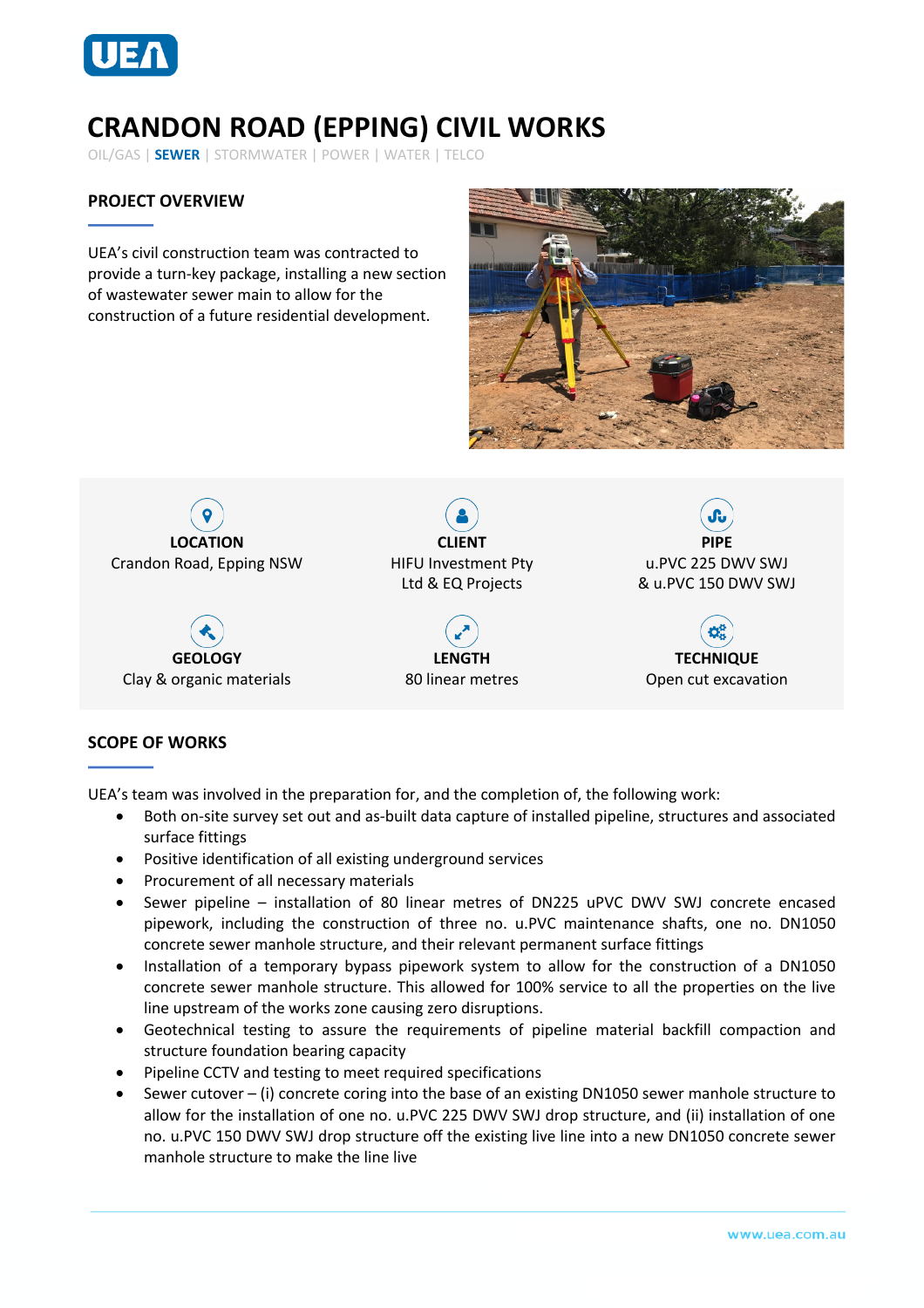

# **CRANDON ROAD (EPPING) CIVIL WORKS**

OIL/GAS | **SEWER** | STORMWATER | POWER | WATER | TELCO

# **PROJECT OVERVIEW**

UEA's civil construction team was contracted to provide a turn-key package, installing a new section of wastewater sewer main to allow for the construction of a future residential development.





#### **SCOPE OF WORKS**

UEA's team was involved in the preparation for, and the completion of, the following work:

- Both on-site survey set out and as-built data capture of installed pipeline, structures and associated surface fittings
- Positive identification of all existing underground services
- Procurement of all necessary materials
- Sewer pipeline installation of 80 linear metres of DN225 uPVC DWV SWJ concrete encased pipework, including the construction of three no. u.PVC maintenance shafts, one no. DN1050 concrete sewer manhole structure, and their relevant permanent surface fittings
- Installation of a temporary bypass pipework system to allow for the construction of a DN1050 concrete sewer manhole structure. This allowed for 100% service to all the properties on the live line upstream of the works zone causing zero disruptions.
- Geotechnical testing to assure the requirements of pipeline material backfill compaction and structure foundation bearing capacity
- Pipeline CCTV and testing to meet required specifications
- Sewer cutover (i) concrete coring into the base of an existing DN1050 sewer manhole structure to allow for the installation of one no. u.PVC 225 DWV SWJ drop structure, and (ii) installation of one no. u.PVC 150 DWV SWJ drop structure off the existing live line into a new DN1050 concrete sewer manhole structure to make the line live